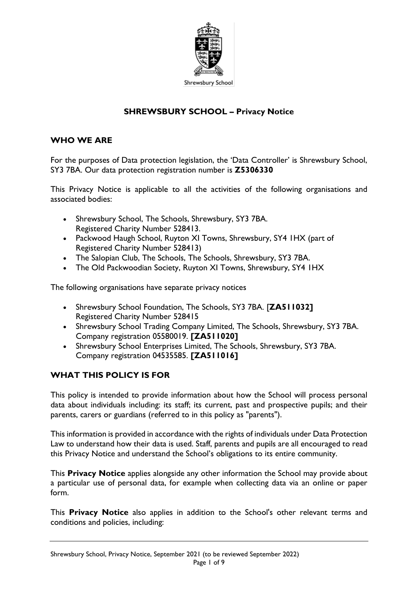

### **SHREWSBURY SCHOOL – Privacy Notice**

#### **WHO WE ARE**

For the purposes of Data protection legislation, the 'Data Controller' is Shrewsbury School, SY3 7BA. Our data protection registration number is **Z5306330**

This Privacy Notice is applicable to all the activities of the following organisations and associated bodies:

- Shrewsbury School, The Schools, Shrewsbury, SY3 7BA. Registered Charity Number 528413.
- Packwood Haugh School, Ruyton XI Towns, Shrewsbury, SY4 1HX (part of Registered Charity Number 528413)
- The Salopian Club, The Schools, The Schools, Shrewsbury, SY3 7BA.
- The Old Packwoodian Society, Ruyton XI Towns, Shrewsbury, SY4 IHX

The following organisations have separate privacy notices

- Shrewsbury School Foundation, The Schools, SY3 7BA. [**ZA511032]** Registered Charity Number 528415
- Shrewsbury School Trading Company Limited, The Schools, Shrewsbury, SY3 7BA. Company registration 05580019. **[ZA511020]**
- Shrewsbury School Enterprises Limited, The Schools, Shrewsbury, SY3 7BA. Company registration 04535585. **[ZA511016]**

### **WHAT THIS POLICY IS FOR**

This policy is intended to provide information about how the School will process personal data about individuals including: its staff; its current, past and prospective pupils; and their parents, carers or guardians (referred to in this policy as "parents").

This information is provided in accordance with the rights of individuals under Data Protection Law to understand how their data is used. Staff, parents and pupils are all encouraged to read this Privacy Notice and understand the School's obligations to its entire community.

This **Privacy Notice** applies alongside any other information the School may provide about a particular use of personal data, for example when collecting data via an online or paper form.

This **Privacy Notice** also applies in addition to the School's other relevant terms and conditions and policies, including: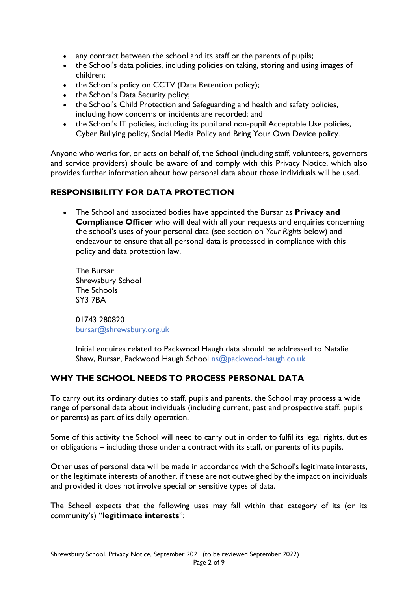- any contract between the school and its staff or the parents of pupils;
- the School's data policies, including policies on taking, storing and using images of children;
- the School's policy on CCTV (Data Retention policy);
- the School's Data Security policy;
- the School's Child Protection and Safeguarding and health and safety policies, including how concerns or incidents are recorded; and
- the School's IT policies, including its pupil and non-pupil Acceptable Use policies, Cyber Bullying policy, Social Media Policy and Bring Your Own Device policy.

Anyone who works for, or acts on behalf of, the School (including staff, volunteers, governors and service providers) should be aware of and comply with this Privacy Notice, which also provides further information about how personal data about those individuals will be used.

## **RESPONSIBILITY FOR DATA PROTECTION**

• The School and associated bodies have appointed the Bursar as **Privacy and Compliance Officer** who will deal with all your requests and enquiries concerning the school's uses of your personal data (see section on *Your Rights* below) and endeavour to ensure that all personal data is processed in compliance with this policy and data protection law.

The Bursar Shrewsbury School The Schools SY3 7BA

01743 280820 [bursar@shrewsbury.org.uk](mailto:bursar@shrewsbury.org.uk)

Initial enquires related to Packwood Haugh data should be addressed to Natalie Shaw, Bursar, Packwood Haugh School ns@packwood-haugh.co.uk

### **WHY THE SCHOOL NEEDS TO PROCESS PERSONAL DATA**

To carry out its ordinary duties to staff, pupils and parents, the School may process a wide range of personal data about individuals (including current, past and prospective staff, pupils or parents) as part of its daily operation.

Some of this activity the School will need to carry out in order to fulfil its legal rights, duties or obligations – including those under a contract with its staff, or parents of its pupils.

Other uses of personal data will be made in accordance with the School's legitimate interests, or the legitimate interests of another, if these are not outweighed by the impact on individuals and provided it does not involve special or sensitive types of data.

The School expects that the following uses may fall within that category of its (or its community's) "**legitimate interests**":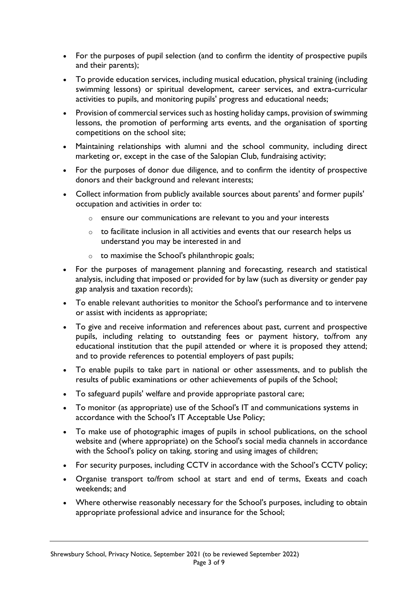- For the purposes of pupil selection (and to confirm the identity of prospective pupils and their parents);
- To provide education services, including musical education, physical training (including swimming lessons) or spiritual development, career services, and extra-curricular activities to pupils, and monitoring pupils' progress and educational needs;
- Provision of commercial services such as hosting holiday camps, provision of swimming lessons, the promotion of performing arts events, and the organisation of sporting competitions on the school site;
- Maintaining relationships with alumni and the school community, including direct marketing or, except in the case of the Salopian Club, fundraising activity;
- For the purposes of donor due diligence, and to confirm the identity of prospective donors and their background and relevant interests;
- Collect information from publicly available sources about parents' and former pupils' occupation and activities in order to:
	- o ensure our communications are relevant to you and your interests
	- $\circ$  to facilitate inclusion in all activities and events that our research helps us understand you may be interested in and
	- o to maximise the School's philanthropic goals;
- For the purposes of management planning and forecasting, research and statistical analysis, including that imposed or provided for by law (such as diversity or gender pay gap analysis and taxation records);
- To enable relevant authorities to monitor the School's performance and to intervene or assist with incidents as appropriate;
- To give and receive information and references about past, current and prospective pupils, including relating to outstanding fees or payment history, to/from any educational institution that the pupil attended or where it is proposed they attend; and to provide references to potential employers of past pupils;
- To enable pupils to take part in national or other assessments, and to publish the results of public examinations or other achievements of pupils of the School;
- To safeguard pupils' welfare and provide appropriate pastoral care;
- To monitor (as appropriate) use of the School's IT and communications systems in accordance with the School's IT Acceptable Use Policy;
- To make use of photographic images of pupils in school publications, on the school website and (where appropriate) on the School's social media channels in accordance with the School's policy on taking, storing and using images of children;
- For security purposes, including CCTV in accordance with the School's CCTV policy;
- Organise transport to/from school at start and end of terms, Exeats and coach weekends; and
- Where otherwise reasonably necessary for the School's purposes, including to obtain appropriate professional advice and insurance for the School;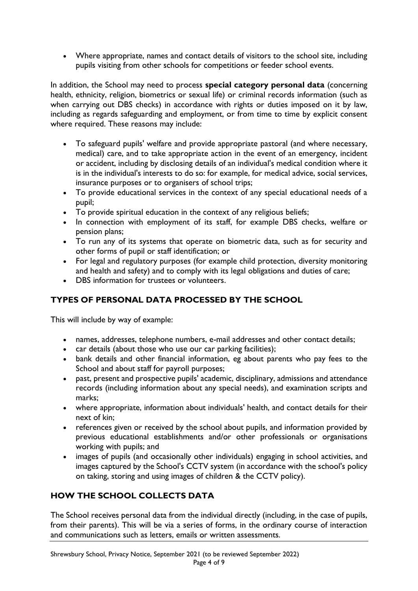• Where appropriate, names and contact details of visitors to the school site, including pupils visiting from other schools for competitions or feeder school events.

In addition, the School may need to process **special category personal data** (concerning health, ethnicity, religion, biometrics or sexual life) or criminal records information (such as when carrying out DBS checks) in accordance with rights or duties imposed on it by law, including as regards safeguarding and employment, or from time to time by explicit consent where required. These reasons may include:

- To safeguard pupils' welfare and provide appropriate pastoral (and where necessary, medical) care, and to take appropriate action in the event of an emergency, incident or accident, including by disclosing details of an individual's medical condition where it is in the individual's interests to do so: for example, for medical advice, social services, insurance purposes or to organisers of school trips;
- To provide educational services in the context of any special educational needs of a pupil;
- To provide spiritual education in the context of any religious beliefs;
- In connection with employment of its staff, for example DBS checks, welfare or pension plans;
- To run any of its systems that operate on biometric data, such as for security and other forms of pupil or staff identification; or
- For legal and regulatory purposes (for example child protection, diversity monitoring and health and safety) and to comply with its legal obligations and duties of care;
- DBS information for trustees or volunteers.

## **TYPES OF PERSONAL DATA PROCESSED BY THE SCHOOL**

This will include by way of example:

- names, addresses, telephone numbers, e-mail addresses and other contact details;
- car details (about those who use our car parking facilities);
- bank details and other financial information, eg about parents who pay fees to the School and about staff for payroll purposes;
- past, present and prospective pupils' academic, disciplinary, admissions and attendance records (including information about any special needs), and examination scripts and marks;
- where appropriate, information about individuals' health, and contact details for their next of kin;
- references given or received by the school about pupils, and information provided by previous educational establishments and/or other professionals or organisations working with pupils; and
- images of pupils (and occasionally other individuals) engaging in school activities, and images captured by the School's CCTV system (in accordance with the school's policy on taking, storing and using images of children & the CCTV policy).

# **HOW THE SCHOOL COLLECTS DATA**

The School receives personal data from the individual directly (including, in the case of pupils, from their parents). This will be via a series of forms, in the ordinary course of interaction and communications such as letters, emails or written assessments.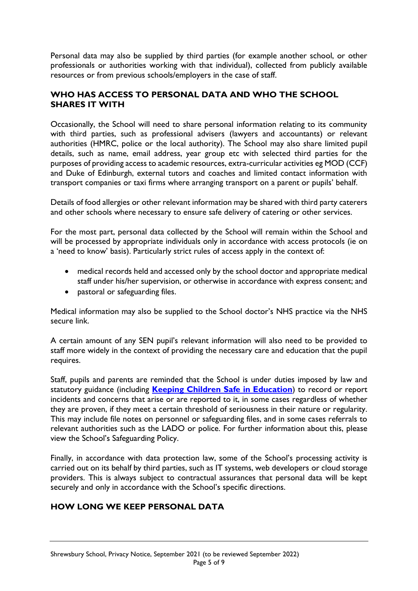Personal data may also be supplied by third parties (for example another school, or other professionals or authorities working with that individual), collected from publicly available resources or from previous schools/employers in the case of staff.

### **WHO HAS ACCESS TO PERSONAL DATA AND WHO THE SCHOOL SHARES IT WITH**

Occasionally, the School will need to share personal information relating to its community with third parties, such as professional advisers (lawyers and accountants) or relevant authorities (HMRC, police or the local authority). The School may also share limited pupil details, such as name, email address, year group etc with selected third parties for the purposes of providing access to academic resources, extra-curricular activities eg MOD (CCF) and Duke of Edinburgh, external tutors and coaches and limited contact information with transport companies or taxi firms where arranging transport on a parent or pupils' behalf.

Details of food allergies or other relevant information may be shared with third party caterers and other schools where necessary to ensure safe delivery of catering or other services.

For the most part, personal data collected by the School will remain within the School and will be processed by appropriate individuals only in accordance with access protocols (ie on a 'need to know' basis). Particularly strict rules of access apply in the context of:

- medical records held and accessed only by the school doctor and appropriate medical staff under his/her supervision, or otherwise in accordance with express consent; and
- pastoral or safeguarding files.

Medical information may also be supplied to the School doctor's NHS practice via the NHS secure link.

A certain amount of any SEN pupil's relevant information will also need to be provided to staff more widely in the context of providing the necessary care and education that the pupil requires.

Staff, pupils and parents are reminded that the School is under duties imposed by law and statutory guidance (including **[Keeping Children Safe in Education](https://www.gov.uk/government/publications/keeping-children-safe-in-education--2)**) to record or report incidents and concerns that arise or are reported to it, in some cases regardless of whether they are proven, if they meet a certain threshold of seriousness in their nature or regularity. This may include file notes on personnel or safeguarding files, and in some cases referrals to relevant authorities such as the LADO or police. For further information about this, please view the School's Safeguarding Policy.

Finally, in accordance with data protection law, some of the School's processing activity is carried out on its behalf by third parties, such as IT systems, web developers or cloud storage providers. This is always subject to contractual assurances that personal data will be kept securely and only in accordance with the School's specific directions.

### **HOW LONG WE KEEP PERSONAL DATA**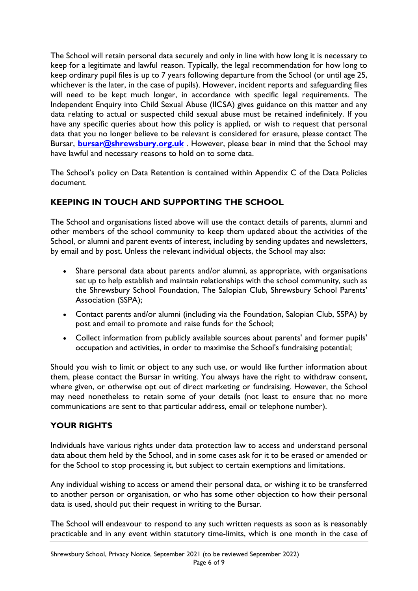The School will retain personal data securely and only in line with how long it is necessary to keep for a legitimate and lawful reason. Typically, the legal recommendation for how long to keep ordinary pupil files is up to 7 years following departure from the School (or until age 25, whichever is the later, in the case of pupils). However, incident reports and safeguarding files will need to be kept much longer, in accordance with specific legal requirements. The Independent Enquiry into Child Sexual Abuse (IICSA) gives guidance on this matter and any data relating to actual or suspected child sexual abuse must be retained indefinitely. If you have any specific queries about how this policy is applied, or wish to request that personal data that you no longer believe to be relevant is considered for erasure, please contact The Bursar, **[bursar@shrewsbury.org.uk](mailto:bursar@shrewsbury.org.uk)** . However, please bear in mind that the School may have lawful and necessary reasons to hold on to some data.

The School's policy on Data Retention is contained within Appendix C of the Data Policies document.

# **KEEPING IN TOUCH AND SUPPORTING THE SCHOOL**

The School and organisations listed above will use the contact details of parents, alumni and other members of the school community to keep them updated about the activities of the School, or alumni and parent events of interest, including by sending updates and newsletters, by email and by post. Unless the relevant individual objects, the School may also:

- Share personal data about parents and/or alumni, as appropriate, with organisations set up to help establish and maintain relationships with the school community, such as the Shrewsbury School Foundation, The Salopian Club, Shrewsbury School Parents' Association (SSPA);
- Contact parents and/or alumni (including via the Foundation, Salopian Club, SSPA) by post and email to promote and raise funds for the School;
- Collect information from publicly available sources about parents' and former pupils' occupation and activities, in order to maximise the School's fundraising potential;

Should you wish to limit or object to any such use, or would like further information about them, please contact the Bursar in writing. You always have the right to withdraw consent, where given, or otherwise opt out of direct marketing or fundraising. However, the School may need nonetheless to retain some of your details (not least to ensure that no more communications are sent to that particular address, email or telephone number).

### **YOUR RIGHTS**

Individuals have various rights under data protection law to access and understand personal data about them held by the School, and in some cases ask for it to be erased or amended or for the School to stop processing it, but subject to certain exemptions and limitations.

Any individual wishing to access or amend their personal data, or wishing it to be transferred to another person or organisation, or who has some other objection to how their personal data is used, should put their request in writing to the Bursar.

The School will endeavour to respond to any such written requests as soon as is reasonably practicable and in any event within statutory time-limits, which is one month in the case of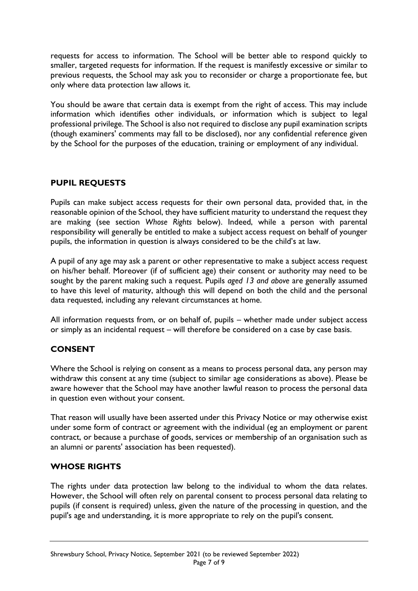requests for access to information. The School will be better able to respond quickly to smaller, targeted requests for information. If the request is manifestly excessive or similar to previous requests, the School may ask you to reconsider or charge a proportionate fee, but only where data protection law allows it.

You should be aware that certain data is exempt from the right of access. This may include information which identifies other individuals, or information which is subject to legal professional privilege. The School is also not required to disclose any pupil examination scripts (though examiners' comments may fall to be disclosed), nor any confidential reference given by the School for the purposes of the education, training or employment of any individual.

### **PUPIL REQUESTS**

Pupils can make subject access requests for their own personal data, provided that, in the reasonable opinion of the School, they have sufficient maturity to understand the request they are making (see section *Whose Rights* below). Indeed, while a person with parental responsibility will generally be entitled to make a subject access request on behalf of younger pupils, the information in question is always considered to be the child's at law.

A pupil of any age may ask a parent or other representative to make a subject access request on his/her behalf. Moreover (if of sufficient age) their consent or authority may need to be sought by the parent making such a request. Pupils *aged 13 and above* are generally assumed to have this level of maturity, although this will depend on both the child and the personal data requested, including any relevant circumstances at home.

All information requests from, or on behalf of, pupils – whether made under subject access or simply as an incidental request – will therefore be considered on a case by case basis.

### **CONSENT**

Where the School is relying on consent as a means to process personal data, any person may withdraw this consent at any time (subject to similar age considerations as above). Please be aware however that the School may have another lawful reason to process the personal data in question even without your consent.

That reason will usually have been asserted under this Privacy Notice or may otherwise exist under some form of contract or agreement with the individual (eg an employment or parent contract, or because a purchase of goods, services or membership of an organisation such as an alumni or parents' association has been requested).

### **WHOSE RIGHTS**

The rights under data protection law belong to the individual to whom the data relates. However, the School will often rely on parental consent to process personal data relating to pupils (if consent is required) unless, given the nature of the processing in question, and the pupil's age and understanding, it is more appropriate to rely on the pupil's consent.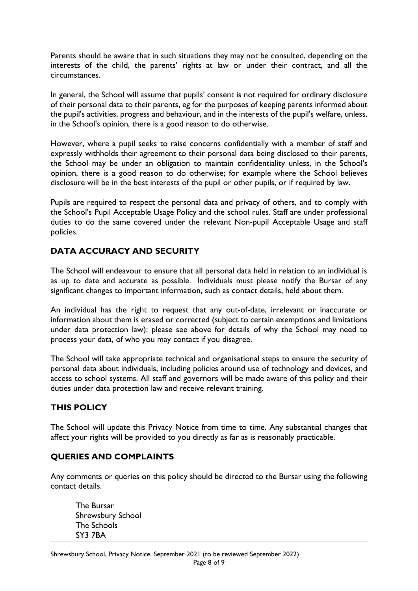Parents should be aware that in such situations they may not be consulted, depending on the interests of the child, the parents' rights at law or under their contract, and all the circumstances.

In general, the School will assume that pupils' consent is not required for ordinary disclosure of their personal data to their parents, eg for the purposes of keeping parents informed about the pupil's activities, progress and behaviour, and in the interests of the pupil's welfare, unless, in the School's opinion, there is a good reason to do otherwise.

However, where a pupil seeks to raise concerns confidentially with a member of staff and expressly withholds their agreement to their personal data being disclosed to their parents, the School may be under an obligation to maintain confidentiality unless, in the School's opinion, there is a good reason to do otherwise; for example where the School believes disclosure will be in the best interests of the pupil or other pupils, or if required by law.

Pupils are required to respect the personal data and privacy of others, and to comply with the School's Pupil Acceptable Usage Policy and the school rules. Staff are under professional duties to do the same covered under the relevant Non-pupil Acceptable Usage and staff policies.

### **DATA ACCURACY AND SECURITY**

The School will endeavour to ensure that all personal data held in relation to an individual is as up to date and accurate as possible. Individuals must please notify the Bursar of any significant changes to important information, such as contact details, held about them.

An individual has the right to request that any out-of-date, irrelevant or inaccurate or information about them is erased or corrected (subject to certain exemptions and limitations under data protection law): please see above for details of why the School may need to process your data, of who you may contact if you disagree.

The School will take appropriate technical and organisational steps to ensure the security of personal data about individuals, including policies around use of technology and devices, and access to school systems. All staff and governors will be made aware of this policy and their duties under data protection law and receive relevant training.

### **THIS POLICY**

The School will update this Privacy Notice from time to time. Any substantial changes that affect your rights will be provided to you directly as far as is reasonably practicable.

### **QUERIES AND COMPLAINTS**

Any comments or queries on this policy should be directed to the Bursar using the following contact details.

The Bursar Shrewsbury School The Schools SY3 7BA